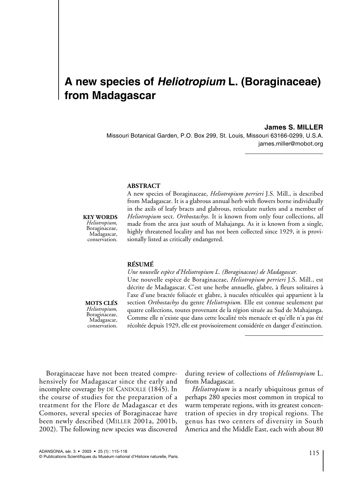# **A new species of** *Heliotropium* **L. (Boraginaceae) from Madagascar**

#### **James S. MILLER**

Missouri Botanical Garden, P.O. Box 299, St. Louis, Missouri 63166-0299, U.S.A. james.miller@mobot.org

## **ABSTRACT**

#### **KEY WORDS**

*Heliotropium,* Boraginaceae, Madagascar, conservation. A new species of Boraginaceae, *Heliotropium perrieri* J.S. Mill., is described from Madagascar. It is a glabrous annual herb with flowers borne individually in the axils of leafy bracts and glabrous, reticulate nutlets and a member of *Heliotropium* sect. *Orthostachys*. It is known from only four collections, all made from the area just south of Mahajanga. As it is known from a single, highly threatened locality and has not been collected since 1929, it is provisionally listed as critically endangered.

### **RÉSUMÉ**

*Une nouvelle espèce d'Heliotropium L. (Boraginaceae) de Madagascar.*

**MOTS CLÉS** *Heliotropium,* Boraginaceae, Madagascar, conservation.

Une nouvelle espèce de Boraginaceae, *Heliotropium perrieri* J.S. Mill., est décrite de Madagascar. C'est une herbe annuelle, glabre, à fleurs solitaires à l'axe d'une bractée foliacée et glabre, à nucules réticulées qui appartient à la section *Orthostachys* du genre *Heliotropium.* Elle est connue seulement par quatre collections, toutes provenant de la région située au Sud de Mahajanga. Comme elle n'existe que dans cette localité très menacée et qu'elle n'a pas été récoltée depuis 1929, elle est provisoirement considérée en danger d'extinction.

Boraginaceae have not been treated comprehensively for Madagascar since the early and incomplete coverage by DE CANDOLLE (1845). In the course of studies for the preparation of a treatment for the Flore de Madagascar et des Comores, several species of Boraginaceae have been newly described (MILLER 2001a, 2001b, 2002). The following new species was discovered during review of collections of *Heliotropium* L. from Madagascar.

*Heliotropium* is a nearly ubiquitous genus of perhaps 280 species most common in tropical to warm temperate regions, with its greatest concentration of species in dry tropical regions. The genus has two centers of diversity in South America and the Middle East, each with about 80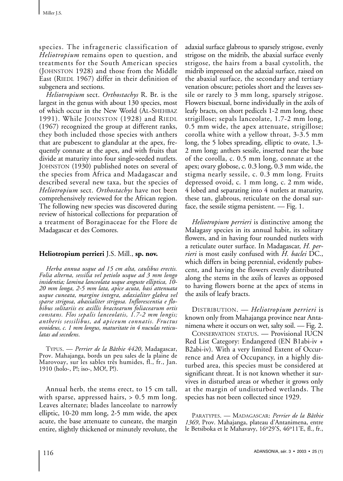species. The infrageneric classification of *Heliotropium* remains open to question, and treatments for the South American species (JOHNSTON 1928) and those from the Middle East (RIEDL 1967) differ in their definition of subgenera and sections.

*Heliotropium* sect. *Orthostachys* R. Br. is the largest in the genus with about 130 species, most of which occur in the New World (AL-SHEHBAZ 1991). While JOHNSTON (1928) and RIEDL (1967) recognized the group at different ranks, they both included those species with anthers that are pubescent to glandular at the apex, frequently connate at the apex, and with fruits that divide at maturity into four single-seeded nutlets. JOHNSTON (1930) published notes on several of the species from Africa and Madagascar and described several new taxa, but the species of *Heliotropium* sect. *Orthostachys* have not been comprehensively reviewed for the African region. The following new species was discovered during review of historical collections for preparation of a treatment of Boraginaceae for the Flore de Madagascar et des Comores.

# **Heliotropium perrieri** J.S. Mill., **sp. nov.**

*Herba annua usque ad 15 cm alta, caulibus erectis. Folia alterna, sessilia vel petiolo usque ad 3 mm longo insidentia; lamina lanceolata usque anguste elliptica, 10- 20 mm longa, 2-5 mm lata, apice acuta, basi attenuata usque cuneata, margine integra, adaxialiter glabra vel sparse strigosa, abaxialiter strigosa. Inflorescentia e flobibus solitariis ex axillis bractearum foliacearum ortis constans. Flos sepalis lanceolatis, 1.7-2 mm longis; antheris sessilibus, ad apiceum connatis. Fructus ovoideus, c. 1 mm longus, maturitate in 4 nuculas reticulatas ad secedens*.

TYPUS. — *Perrier de la Bâthie 4420*, Madagascar, Prov. Mahajanga, bords un peu sales de la plaine de Marovoay, sur les sables très humides, fl., fr., Jan. 1910 (holo-, P!; iso-, MO!, P!).

Annual herb, the stems erect, to 15 cm tall, with sparse, appressed hairs, > 0.5 mm long. Leaves alternate; blades lanceolate to narrowly elliptic, 10-20 mm long, 2-5 mm wide, the apex acute, the base attenuate to cuneate, the margin entire, slightly thickened or minutely revolute, the adaxial surface glabrous to sparsely strigose, evenly strigose on the midrib, the abaxial surface evenly strigose, the hairs from a basal cystolith, the midrib impressed on the adaxial surface, raised on the abaxial surface, the secondary and tertiary venation obscure; petioles short and the leaves sessile or rarely to 3 mm long, sparsely strigose. Flowers bisexual, borne individually in the axils of leafy bracts, on short pedicels 1-2 mm long, these strigillose; sepals lanceolate, 1.7-2 mm long, 0.5 mm wide, the apex attenuate, strigillose; corolla white with a yellow throat, 3-3.5 mm long, the 5 lobes spreading, elliptic to ovate, 1.3- 2 mm long; anthers sessile, inserted near the base of the corolla, c. 0.5 mm long, connate at the apex; ovary globose, c. 0.3 long, 0.3 mm wide, the stigma nearly sessile, c. 0.3 mm long. Fruits depressed ovoid, c. 1 mm long, c. 2 mm wide, 4 lobed and separating into 4 nutlets at maturity, these tan, glabrous, reticulate on the dorsal surface, the sessile stigma persistent. — Fig. 1.

*Heliotropium perrieri* is distinctive among the Malagasy species in its annual habit, its solitary flowers, and in having four rounded nutlets with a reticulate outer surface. In Madagascar, *H. perrieri* is most easily confused with *H. baclei* DC., which differs in being perennial, evidently pubescent, and having the flowers evenly distributed along the stems in the axils of leaves as opposed to having flowers borne at the apex of stems in the axils of leafy bracts.

DISTRIBUTION. — *Heliotropium perrieri* is known only from Mahajanga province near Antanimena where it occurs on wet, salty soil. — Fig. 2.

CONSERVATION STATUS. — Provisional IUCN Red List Category: Endangered (EN B1abi-iv + B2abi-iv). With a very limited Extent of Occurrence and Area of Occupancy, in a highly disturbed area, this species must be considered at significant threat. It is not known whether it survives in disturbed areas or whether it grows only at the margin of undisturbed wetlands. The species has not been collected since 1929.

PARATYPES.—MADAGASCAR: *Perrier de la Bâthie 1369*, Prov. Mahajanga, plateau d'Antanimena, entre le Betsiboka et le Mahavavy, 16°29'S, 46°11'E, fl., fr.,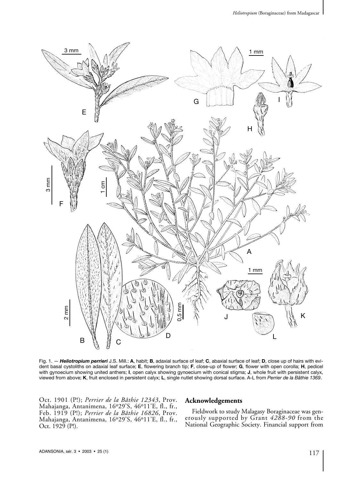

Fig. 1. - Heliotropium perrieri J.S. Mill.: A, habit; B, adaxial surface of leaf; C, abaxial surface of leaf; D, close up of hairs with evident basal cystoliths on adaxial leaf surface; **E**, flowering branch tip; **F**, close-up of flower; **G**, flower with open corolla; **H**, pedicel with gynoecium showing united anthers; **I**, open calyx showing gynoecium with conical stigma; **J**, whole fruit with persistent calyx, viewed from above; **K**, fruit enclosed in persistent calyx; **L**, single nutlet showing dorsal surface. A-L from *Perrier de la Bâthie 1369*.

Oct. 1901 (P!); *Perrier de la Bâthie 12343*, Prov. Mahajanga, Antanimena, 16°29'S, 46°11'E, fl., fr., Feb. 1919 (P!); *Perrier de la Bâthie 16826*, Prov. Mahajanga, Antanimena, 16°29'S, 46°11'E, fl., fr., Oct. 1929 (P!).

# **Acknowledgements**

Fieldwork to study Malagasy Boraginaceae was generously supported by Grant *4288-90* from the National Geographic Society. Financial support from